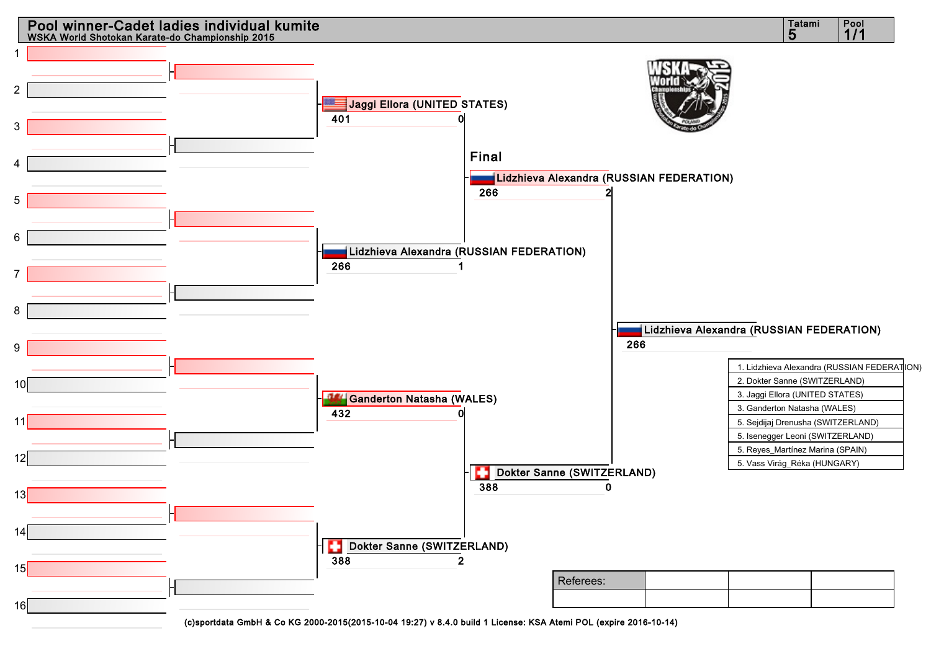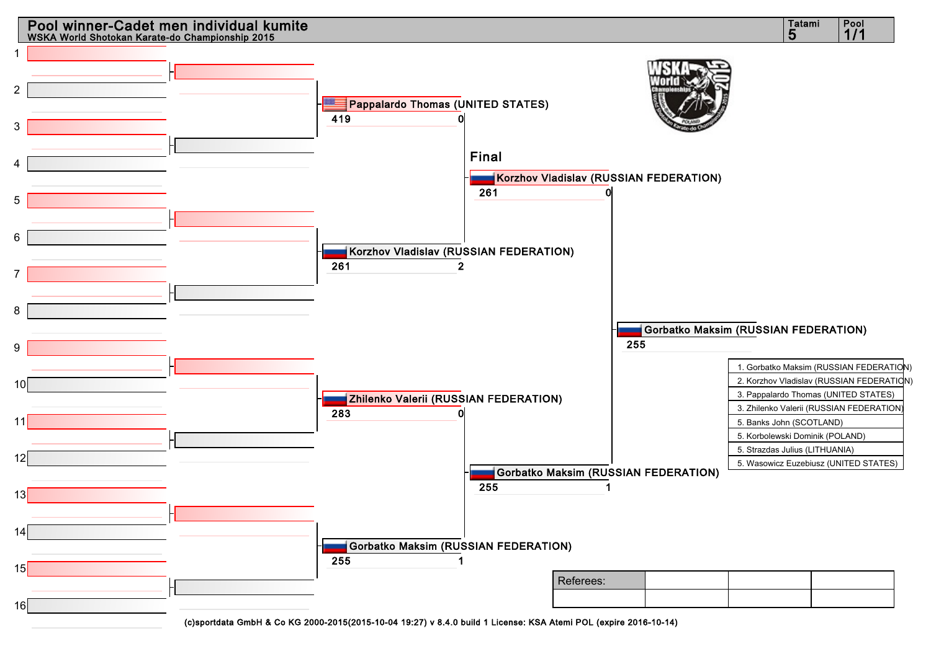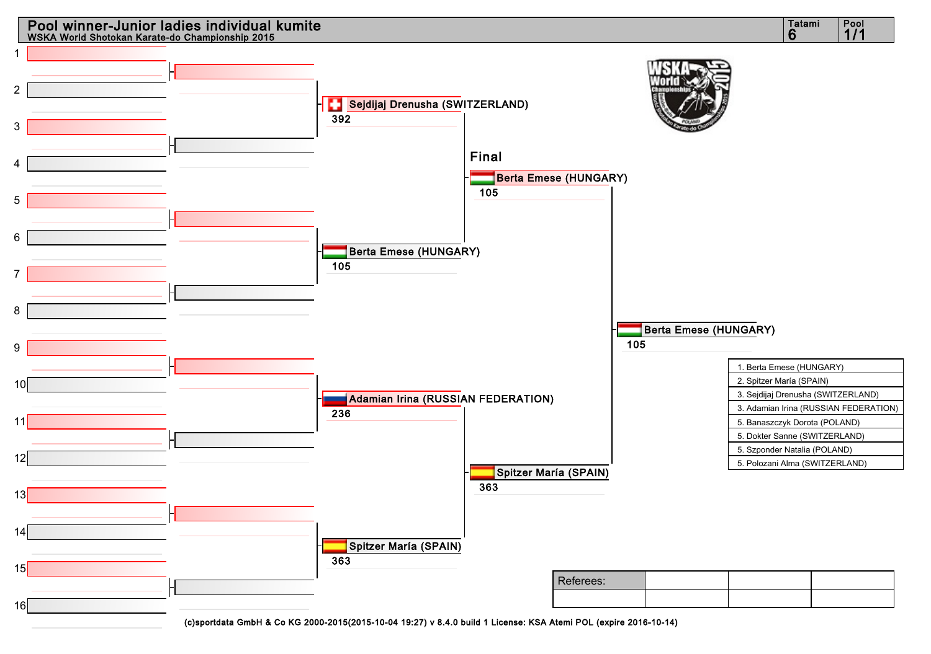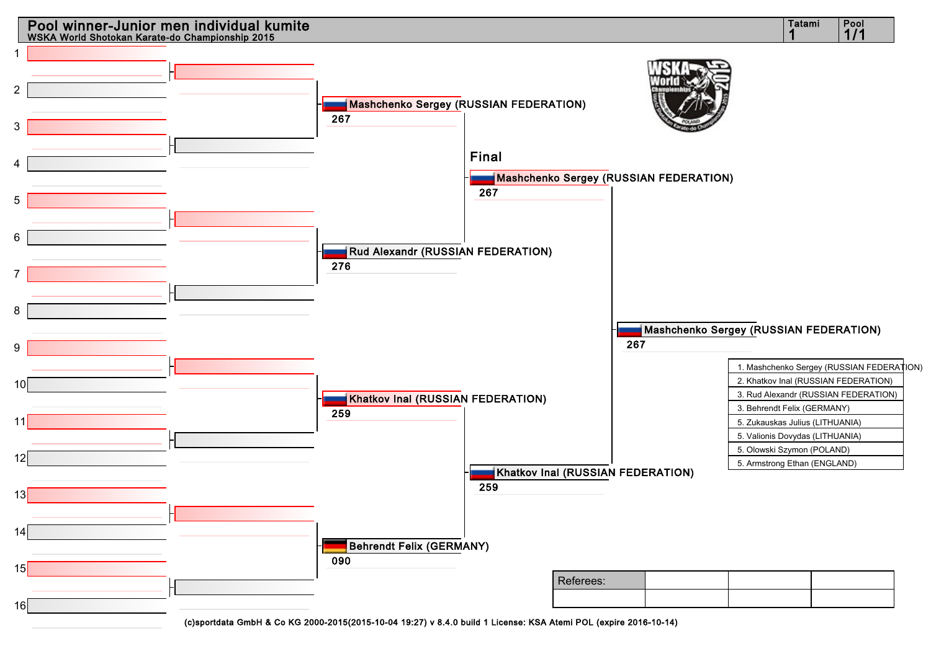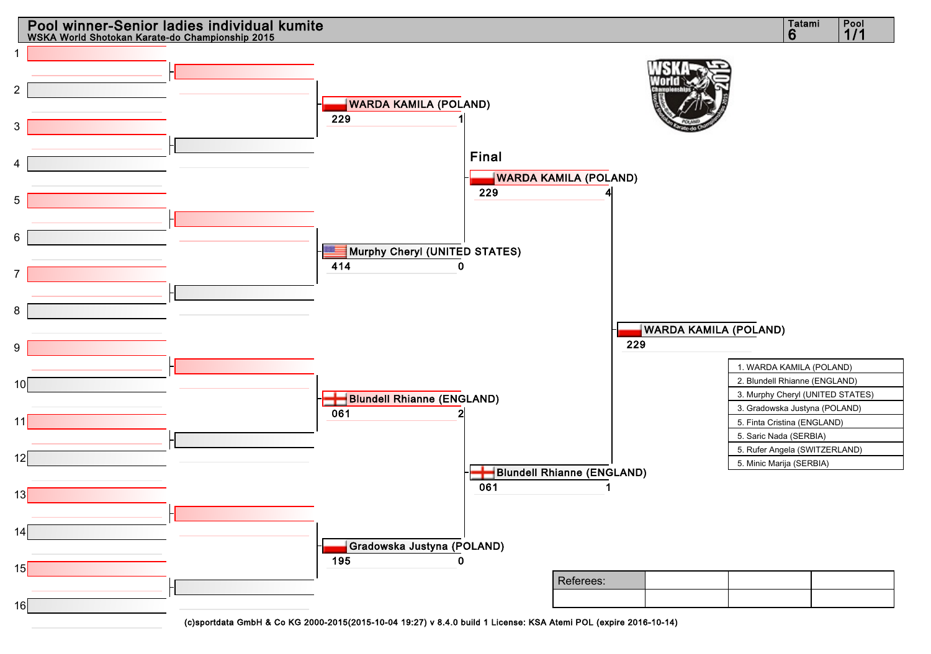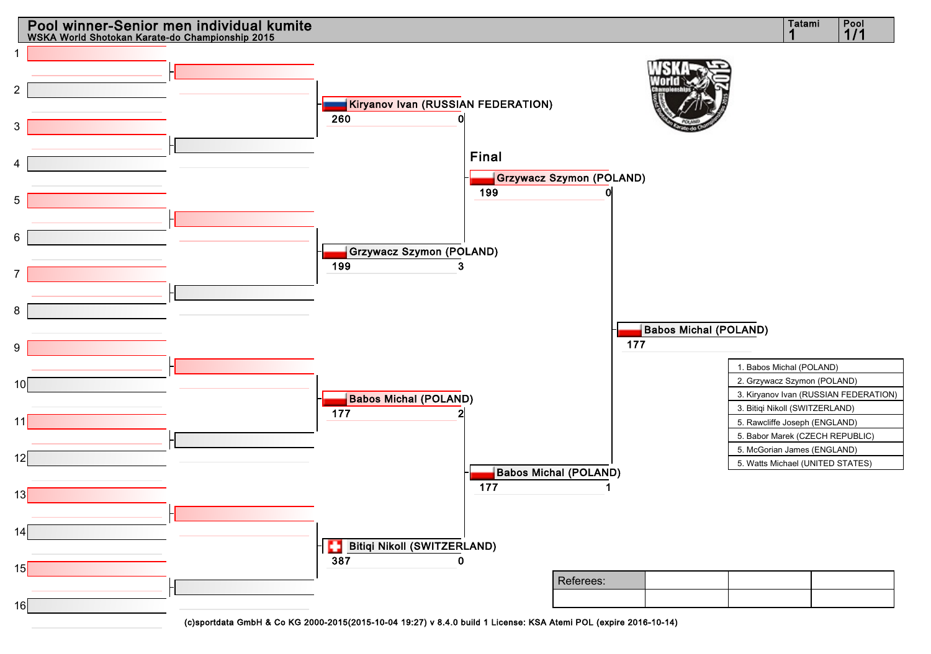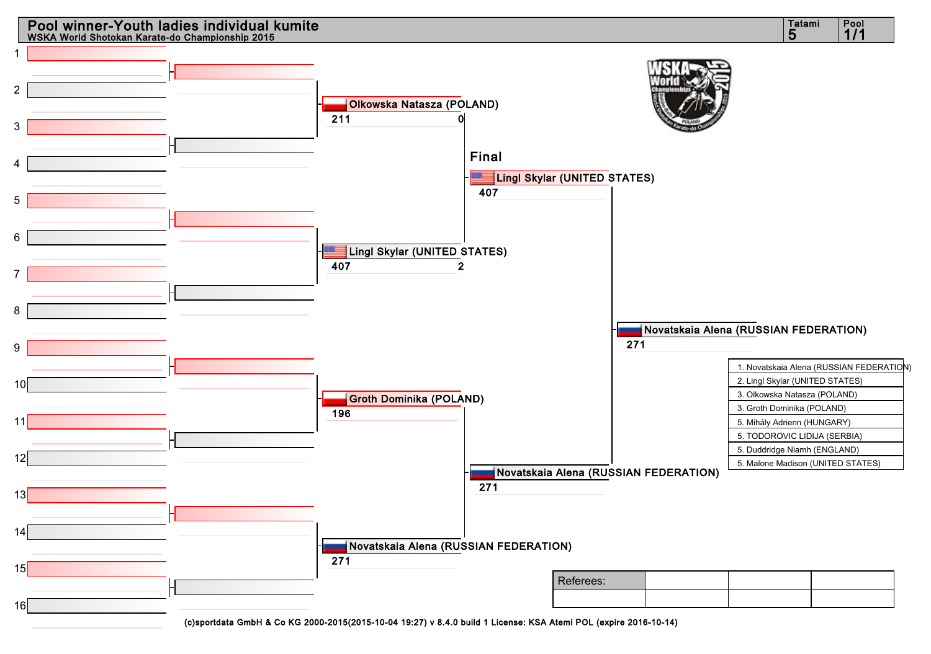